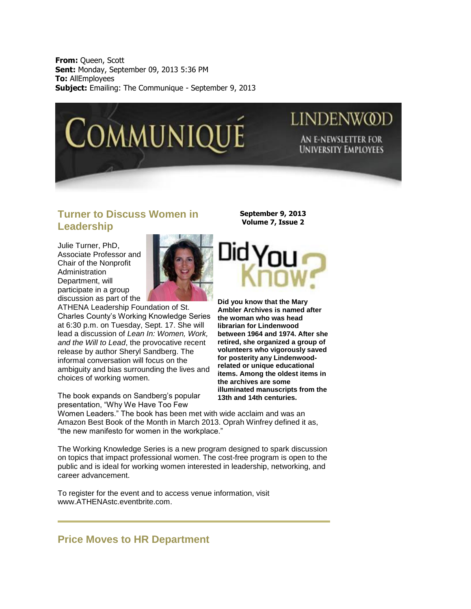**From:** Queen, Scott **Sent:** Monday, September 09, 2013 5:36 PM **To:** AllEmployees **Subject:** Emailing: The Communique - September 9, 2013



# **LINDENWOD AN E-NEWSLETTER FOR UNIVERSITY EMPLOYEES**

#### **Turner to Discuss Women in Leadership**

Julie Turner, PhD, Associate Professor and Chair of the Nonprofit Administration Department, will participate in a group discussion as part of the



ATHENA Leadership Foundation of St. Charles County's Working Knowledge Series at 6:30 p.m. on Tuesday, Sept. 17. She will lead a discussion of *Lean In: Women, Work, and the Will to Lead*, the provocative recent release by author Sheryl Sandberg. The informal conversation will focus on the ambiguity and bias surrounding the lives and choices of working women.

The book expands on Sandberg's popular presentation, "Why We Have Too Few

**September 9, 2013 Volume 7, Issue 2**



**Did you know that the Mary Ambler Archives is named after the woman who was head librarian for Lindenwood between 1964 and 1974. After she retired, she organized a group of volunteers who vigorously saved for posterity any Lindenwoodrelated or unique educational items. Among the oldest items in the archives are some illuminated manuscripts from the 13th and 14th centuries.** 

Women Leaders." The book has been met with wide acclaim and was an Amazon Best Book of the Month in March 2013. Oprah Winfrey defined it as, "the new manifesto for women in the workplace."

The Working Knowledge Series is a new program designed to spark discussion on topics that impact professional women. The cost-free program is open to the public and is ideal for working women interested in leadership, networking, and career advancement.

To register for the event and to access venue information, visit [www.ATHENAstc.eventbrite.com.](http://www.athenastc.eventbrite.com/)

## **Price Moves to HR Department**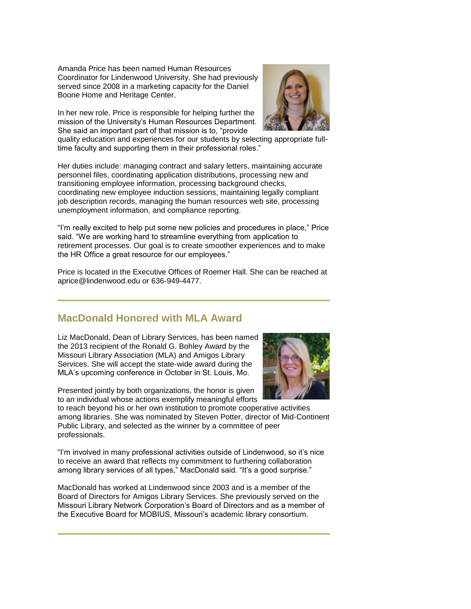Amanda Price has been named Human Resources Coordinator for Lindenwood University. She had previously served since 2008 in a marketing capacity for the Daniel Boone Home and Heritage Center.

In her new role, Price is responsible for helping further the mission of the University's Human Resources Department. She said an important part of that mission is to, "provide



quality education and experiences for our students by selecting appropriate fulltime faculty and supporting them in their professional roles."

Her duties include: managing contract and salary letters, maintaining accurate personnel files, coordinating application distributions, processing new and transitioning employee information, processing background checks, coordinating new employee induction sessions, maintaining legally compliant job description records, managing the human resources web site, processing unemployment information, and compliance reporting.

"I'm really excited to help put some new policies and procedures in place," Price said. "We are working hard to streamline everything from application to retirement processes. Our goal is to create smoother experiences and to make the HR Office a great resource for our employees."

Price is located in the Executive Offices of Roemer Hall. She can be reached at [aprice@lindenwood.edu](mailto:aprice@lindenwood.edu) or 636-949-4477.

### **MacDonald Honored with MLA Award**

Liz MacDonald, Dean of Library Services, has been named the 2013 recipient of the Ronald G. Bohley Award by the Missouri Library Association (MLA) and Amigos Library Services. She will accept the state-wide award during the MLA's upcoming conference in October in St. Louis, Mo.



Presented jointly by both organizations, the honor is given to an individual whose actions exemplify meaningful efforts

to reach beyond his or her own institution to promote cooperative activities among libraries. She was nominated by Steven Potter, director of Mid-Continent Public Library, and selected as the winner by a committee of peer professionals.

"I'm involved in many professional activities outside of Lindenwood, so it's nice to receive an award that reflects my commitment to furthering collaboration among library services of all types," MacDonald said. "It's a good surprise."

MacDonald has worked at Lindenwood since 2003 and is a member of the Board of Directors for Amigos Library Services. She previously served on the Missouri Library Network Corporation's Board of Directors and as a member of the Executive Board for MOBIUS, Missouri's academic library consortium.